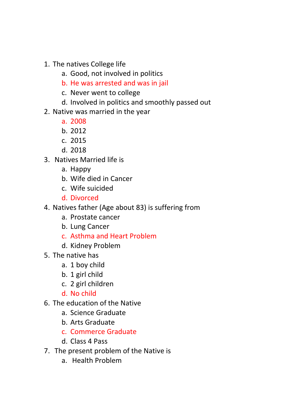- 1. The natives College life
	- a. Good, not involved in politics
	- b. He was arrested and was in jail
	- c. Never went to college
	- d. Involved in politics and smoothly passed out
- 2. Native was married in the year
	- a. 2008
	- b. 2012
	- c. 2015
	- d. 2018
- 3. Natives Married life is
	- a. Happy
	- b. Wife died in Cancer
	- c. Wife suicided
	- d. Divorced
- 4. Natives father (Age about 83) is suffering from
	- a. Prostate cancer
	- b. Lung Cancer
	- c. Asthma and Heart Problem
	- d. Kidney Problem
- 5. The native has
	- a. 1 boy child
	- b. 1 girl child
	- c. 2 girl children
	- d. No child
- 6. The education of the Native
	- a. Science Graduate
	- b. Arts Graduate
	- c. Commerce Graduate
	- d. Class 4 Pass
- 7. The present problem of the Native is
	- a. Health Problem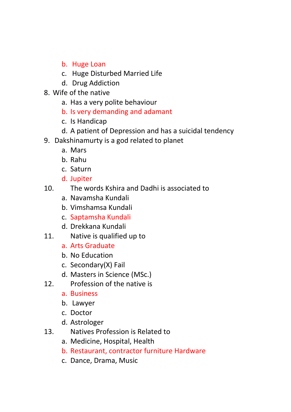- b. Huge Loan
- c. Huge Disturbed Married Life
- d. Drug Addiction
- 8. Wife of the native
	- a. Has a very polite behaviour
	- b. Is very demanding and adamant
	- c. Is Handicap
	- d. A patient of Depression and has a suicidal tendency
- 9. Dakshinamurty is a god related to planet
	- a. Mars
	- b. Rahu
	- c. Saturn
	- d. Jupiter
- 10. The words Kshira and Dadhi is associated to
	- a. Navamsha Kundali
	- b. Vimshamsa Kundali
	- c. Saptamsha Kundali
	- d. Drekkana Kundali
- 11. Native is qualified up to
	- a. Arts Graduate
	- b. No Education
	- c. Secondary(X) Fail
	- d. Masters in Science (MSc.)
- 12. Profession of the native is
	- a. Business
	- b. Lawyer
	- c. Doctor
	- d. Astrologer
- 13. Natives Profession is Related to
	- a. Medicine, Hospital, Health
	- b. Restaurant, contractor furniture Hardware
	- c. Dance, Drama, Music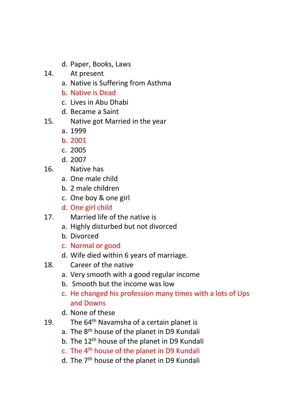- d. Paper, Books, Laws
- 14. At present
	- a. Native is Suffering from Asthma
	- b. Native is Dead
	- c. Lives in Abu Dhabi
	- d. Became a Saint
- 15. Native got Married in the year
	- a. 1999
	- b. 2001
	- c. 2005
	- d. 2007
- 16. Native has
	- a. One male child
	- b. 2 male children
	- c. One boy & one girl
	- d. One girl child
- 17. Married life of the native is
	- a. Highly disturbed but not divorced
	- b. Divorced
	- c. Normal or good
	- d. Wife died within 6 years of marriage.
- 18. Career of the native
	- a. Very smooth with a good regular income
	- b. Smooth but the income was low
	- c. He changed his profession many times with a lots of Ups and Downs
	- d. None of these
- 19. The  $64<sup>th</sup>$  Navamsha of a certain planet is
	- a. The 8<sup>th</sup> house of the planet in D9 Kundali
	- b. The 12<sup>th</sup> house of the planet in D9 Kundali
	- c. The 4th house of the planet in D9 Kundali
	- d. The 7<sup>th</sup> house of the planet in D9 Kundali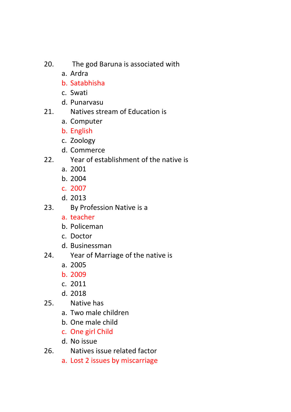- 20. The god Baruna is associated with
	- a. Ardra
	- b. Satabhisha
	- c. Swati
	- d. Punarvasu
- 21. Natives stream of Education is
	- a. Computer
	- b. English
	- c. Zoology
	- d. Commerce
- 22. Year of establishment of the native is
	- a. 2001
	- b. 2004
	- c. 2007
	- d. 2013
- 23. By Profession Native is a
	- a. teacher
	- b. Policeman
	- c. Doctor
	- d. Businessman
- 24. Year of Marriage of the native is
	- a. 2005
	- b. 2009
	- c. 2011
	- d. 2018
- 25. Native has
	- a. Two male children
	- b. One male child
	- c. One girl Child
	- d. No issue
- 26. Natives issue related factor
	- a. Lost 2 issues by miscarriage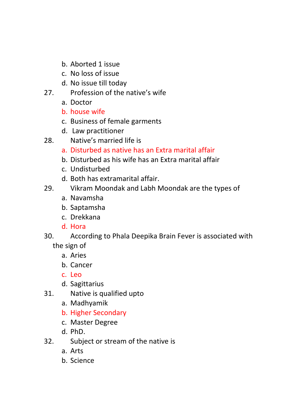- b. Aborted 1 issue
- c. No loss of issue
- d. No issue till today
- 27. Profession of the native's wife
	- a. Doctor
	- b. house wife
	- c. Business of female garments
	- d. Law practitioner
- 28. Native's married life is
	- a. Disturbed as native has an Extra marital affair
	- b. Disturbed as his wife has an Extra marital affair
	- c. Undisturbed
	- d. Both has extramarital affair.
- 29. Vikram Moondak and Labh Moondak are the types of
	- a. Navamsha
	- b. Saptamsha
	- c. Drekkana
	- d. Hora
- 30. According to Phala Deepika Brain Fever is associated with the sign of
	- a. Aries
	- b. Cancer
	- c. Leo
	- d. Sagittarius
- 31. Native is qualified upto
	- a. Madhyamik
	- b. Higher Secondary
	- c. Master Degree
	- d. PhD.
- 32. Subject or stream of the native is
	- a. Arts
	- b. Science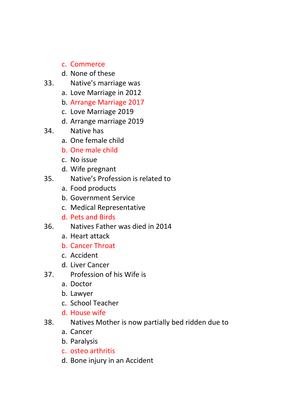- c. Commerce
- d. None of these
- 33. Native's marriage was
	- a. Love Marriage in 2012
	- b. Arrange Marriage 2017
	- c. Love Marriage 2019
	- d. Arrange marriage 2019
- 34. Native has
	- a. One female child
	- b. One male child
	- c. No issue
	- d. Wife pregnant
- 35. Native's Profession is related to
	- a. Food products
	- b. Government Service
	- c. Medical Representative
	- d. Pets and Birds
- 36. Natives Father was died in 2014
	- a. Heart attack
	- b. Cancer Throat
	- c. Accident
	- d. Liver Cancer
- 37. Profession of his Wife is
	- a. Doctor
	- b. Lawyer
	- c. School Teacher
	- d. House wife
- 38. Natives Mother is now partially bed ridden due to
	- a. Cancer
	- b. Paralysis
	- c. osteo arthritis
	- d. Bone injury in an Accident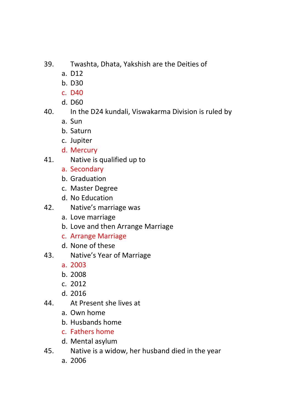- 39. Twashta, Dhata, Yakshish are the Deities of
	- a. D12
	- b. D30
	- c. D40
	- d. D60

## 40. In the D24 kundali, Viswakarma Division is ruled by

- a. Sun
- b. Saturn
- c. Jupiter
- d. Mercury
- 41. Native is qualified up to
	- a. Secondary
	- b. Graduation
	- c. Master Degree
	- d. No Education
- 42. Native's marriage was
	- a. Love marriage
	- b. Love and then Arrange Marriage
	- c. Arrange Marriage
	- d. None of these
- 43. Native's Year of Marriage
	- a. 2003
	- b. 2008
	- c. 2012
	- d. 2016
- 44. At Present she lives at
	- a. Own home
	- b. Husbands home
	- c. Fathers home
	- d. Mental asylum
- 45. Native is a widow, her husband died in the year
	- a. 2006